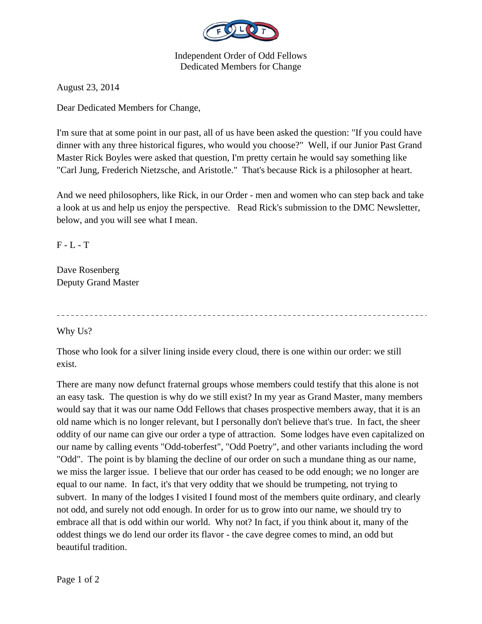

Independent Order of Odd Fellows Dedicated Members for Change

August 23, 2014

Dear Dedicated Members for Change,

I'm sure that at some point in our past, all of us have been asked the question: "If you could have dinner with any three historical figures, who would you choose?" Well, if our Junior Past Grand Master Rick Boyles were asked that question, I'm pretty certain he would say something like "Carl Jung, Frederich Nietzsche, and Aristotle." That's because Rick is a philosopher at heart.

And we need philosophers, like Rick, in our Order - men and women who can step back and take a look at us and help us enjoy the perspective. Read Rick's submission to the DMC Newsletter, below, and you will see what I mean.

 $F - L - T$ 

Dave Rosenberg Deputy Grand Master

Why Us?

Those who look for a silver lining inside every cloud, there is one within our order: we still exist.

There are many now defunct fraternal groups whose members could testify that this alone is not an easy task. The question is why do we still exist? In my year as Grand Master, many members would say that it was our name Odd Fellows that chases prospective members away, that it is an old name which is no longer relevant, but I personally don't believe that's true. In fact, the sheer oddity of our name can give our order a type of attraction. Some lodges have even capitalized on our name by calling events "Odd-toberfest", "Odd Poetry", and other variants including the word "Odd". The point is by blaming the decline of our order on such a mundane thing as our name, we miss the larger issue. I believe that our order has ceased to be odd enough; we no longer are equal to our name. In fact, it's that very oddity that we should be trumpeting, not trying to subvert. In many of the lodges I visited I found most of the members quite ordinary, and clearly not odd, and surely not odd enough. In order for us to grow into our name, we should try to embrace all that is odd within our world. Why not? In fact, if you think about it, many of the oddest things we do lend our order its flavor - the cave degree comes to mind, an odd but beautiful tradition.